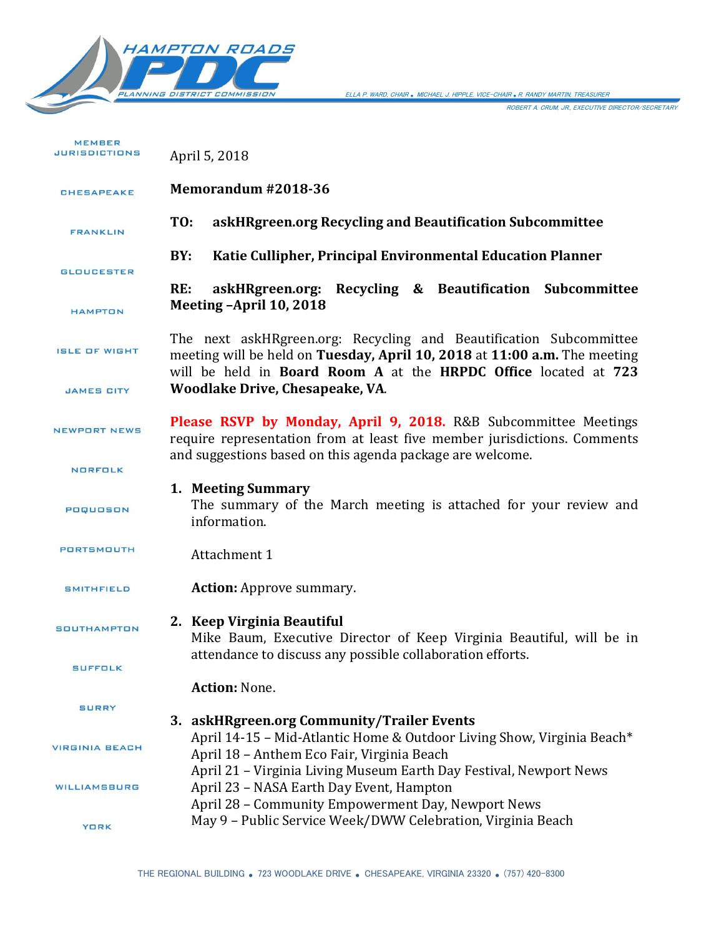

ELLA P. WARD, CHAIR *.* MICHAEL J. HIPPLE, VICE-CHAIR *.*R. RANDY MARTIN, TREASURER

ROBERT A. CRUM, JR., EXECUTIVE DIRECTOR/SECRETARY

| <b>MEMBER</b><br><b>JURISDICTIONS</b> | April 5, 2018                                                                                                                                                                                                                                                                                                                              |
|---------------------------------------|--------------------------------------------------------------------------------------------------------------------------------------------------------------------------------------------------------------------------------------------------------------------------------------------------------------------------------------------|
| <b>CHESAPEAKE</b>                     | Memorandum #2018-36                                                                                                                                                                                                                                                                                                                        |
| <b>FRANKLIN</b>                       | askHRgreen.org Recycling and Beautification Subcommittee<br>TO:                                                                                                                                                                                                                                                                            |
| <b>GLOUCESTER</b>                     | BY:<br>Katie Cullipher, Principal Environmental Education Planner                                                                                                                                                                                                                                                                          |
| <b>HAMPTON</b>                        | askHRgreen.org: Recycling & Beautification Subcommittee<br>RE:<br>Meeting -April 10, 2018                                                                                                                                                                                                                                                  |
| <b>ISLE OF WIGHT</b>                  | The next askHRgreen.org: Recycling and Beautification Subcommittee<br>meeting will be held on Tuesday, April 10, 2018 at 11:00 a.m. The meeting<br>will be held in Board Room A at the HRPDC Office located at 723                                                                                                                         |
| <b>JAMES CITY</b>                     | Woodlake Drive, Chesapeake, VA.                                                                                                                                                                                                                                                                                                            |
| <b>NEWPORT NEWS</b>                   | Please RSVP by Monday, April 9, 2018. R&B Subcommittee Meetings<br>require representation from at least five member jurisdictions. Comments<br>and suggestions based on this agenda package are welcome.                                                                                                                                   |
| <b>NORFOLK</b>                        |                                                                                                                                                                                                                                                                                                                                            |
| POQUOSON                              | 1. Meeting Summary<br>The summary of the March meeting is attached for your review and<br>information.                                                                                                                                                                                                                                     |
| <b>PORTSMOUTH</b>                     | Attachment 1                                                                                                                                                                                                                                                                                                                               |
| <b>SMITHFIELD</b>                     | <b>Action:</b> Approve summary.                                                                                                                                                                                                                                                                                                            |
| <b>SOUTHAMPTON</b>                    | 2. Keep Virginia Beautiful<br>Mike Baum, Executive Director of Keep Virginia Beautiful, will be in<br>attendance to discuss any possible collaboration efforts.                                                                                                                                                                            |
| <b>SUFFOLK</b>                        | <b>Action: None.</b>                                                                                                                                                                                                                                                                                                                       |
| <b>SURRY</b>                          |                                                                                                                                                                                                                                                                                                                                            |
| <b>VIRGINIA BEACH</b>                 | 3. askHRgreen.org Community/Trailer Events<br>April 14-15 - Mid-Atlantic Home & Outdoor Living Show, Virginia Beach*<br>April 18 - Anthem Eco Fair, Virginia Beach<br>April 21 - Virginia Living Museum Earth Day Festival, Newport News<br>April 23 - NASA Earth Day Event, Hampton<br>April 28 - Community Empowerment Day, Newport News |
| <b>WILLIAMSBURG</b>                   |                                                                                                                                                                                                                                                                                                                                            |
| <b>YORK</b>                           | May 9 - Public Service Week/DWW Celebration, Virginia Beach                                                                                                                                                                                                                                                                                |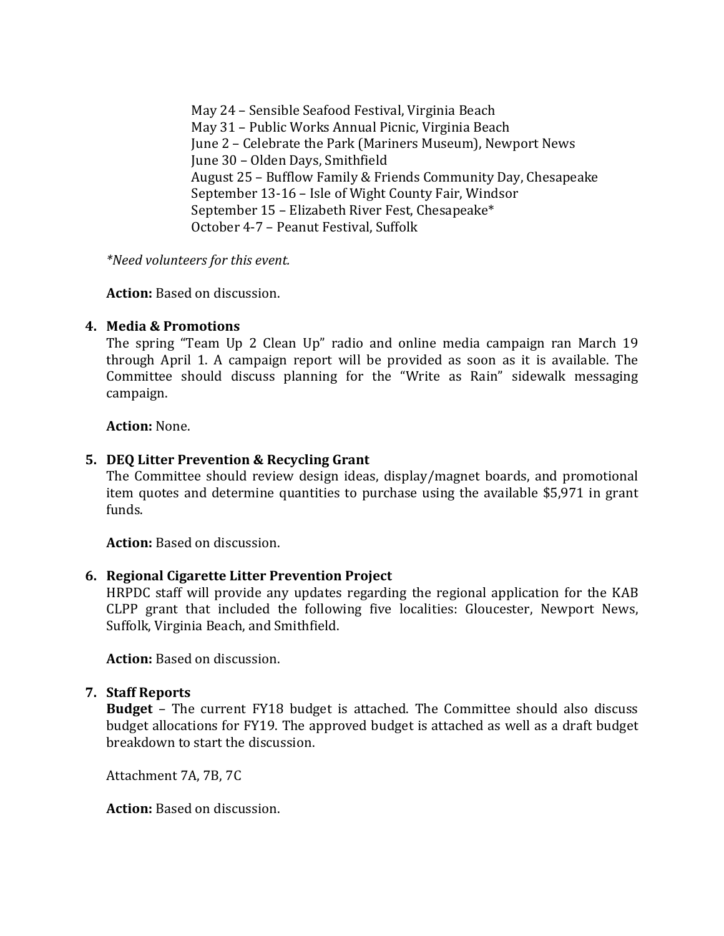May 24 – Sensible Seafood Festival, Virginia Beach May 31 – Public Works Annual Picnic, Virginia Beach June 2 – Celebrate the Park (Mariners Museum), Newport News June 30 – Olden Days, Smithfield August 25 – Bufflow Family & Friends Community Day, Chesapeake September 13-16 – Isle of Wight County Fair, Windsor September 15 – Elizabeth River Fest, Chesapeake\* October 4-7 – Peanut Festival, Suffolk

*\*Need volunteers for this event.*

**Action:** Based on discussion.

# **4. Media & Promotions**

The spring "Team Up 2 Clean Up" radio and online media campaign ran March 19 through April 1. A campaign report will be provided as soon as it is available. The Committee should discuss planning for the "Write as Rain" sidewalk messaging campaign.

**Action:** None.

# **5. DEQ Litter Prevention & Recycling Grant**

The Committee should review design ideas, display/magnet boards, and promotional item quotes and determine quantities to purchase using the available \$5,971 in grant funds.

**Action:** Based on discussion.

# **6. Regional Cigarette Litter Prevention Project**

HRPDC staff will provide any updates regarding the regional application for the KAB CLPP grant that included the following five localities: Gloucester, Newport News, Suffolk, Virginia Beach, and Smithfield.

**Action:** Based on discussion.

# **7. Staff Reports**

**Budget** – The current FY18 budget is attached. The Committee should also discuss budget allocations for FY19. The approved budget is attached as well as a draft budget breakdown to start the discussion.

Attachment 7A, 7B, 7C

**Action:** Based on discussion.